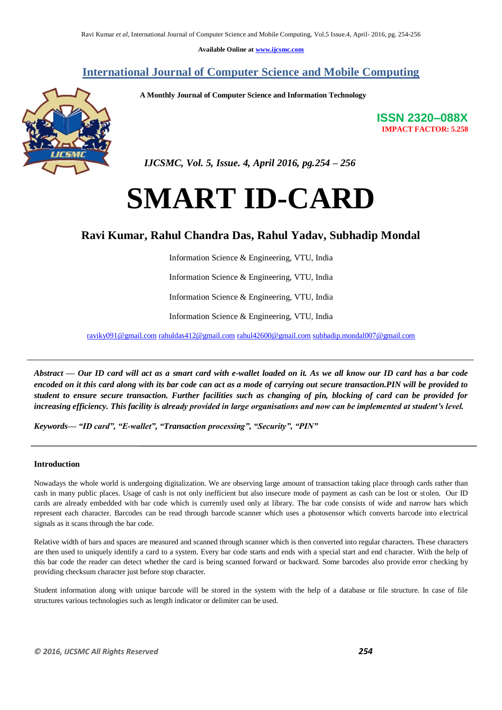**Available Online at www.ijcsmc.com**

### **International Journal of Computer Science and Mobile Computing**

 **A Monthly Journal of Computer Science and Information Technology**



**ISSN 2320–088X IMPACT FACTOR: 5.258**

 *IJCSMC, Vol. 5, Issue. 4, April 2016, pg.254 – 256*

# **SMART ID-CARD**

## **Ravi Kumar, Rahul Chandra Das, Rahul Yadav, Subhadip Mondal**

Information Science & Engineering, VTU, India

Information Science & Engineering, VTU, India

Information Science & Engineering, VTU, India

Information Science & Engineering, VTU, India

raviky091@gmail.com rahuldas412@gmail.com rahul42600@gmail.com subhadip.mondal007@gmail.com

*Abstract — Our ID card will act as a smart card with e-wallet loaded on it. As we all know our ID card has a bar code encoded on it this card along with its bar code can act as a mode of carrying out secure transaction.PIN will be provided to student to ensure secure transaction. Further facilities such as changing of pin, blocking of card can be provided for increasing efficiency. This facility is already provided in large organisations and now can be implemented at student's level.*

*Keywords—* "ID card", "E-wallet", "Transaction processing", "Security", "PIN"

#### **Introduction**

Nowadays the whole world is undergoing digitalization. We are observing large amount of transaction taking place through cards rather than cash in many public places. Usage of cash is not only inefficient but also insecure mode of payment as cash can be lost or stolen. Our ID cards are already embedded with bar code which is currently used only at library. The bar code consists of wide and narrow bars which represent each character. Barcodes can be read through barcode scanner which uses a photosensor which converts barcode into electrical signals as it scans through the bar code.

Relative width of bars and spaces are measured and scanned through scanner which is then converted into regular characters. These characters are then used to uniquely identify a card to a system. Every bar code starts and ends with a special start and end character. With the help of this bar code the reader can detect whether the card is being scanned forward or backward. Some barcodes also provide error checking by providing checksum character just before stop character.

Student information along with unique barcode will be stored in the system with the help of a database or file structure. In case of file structures various technologies such as length indicator or delimiter can be used.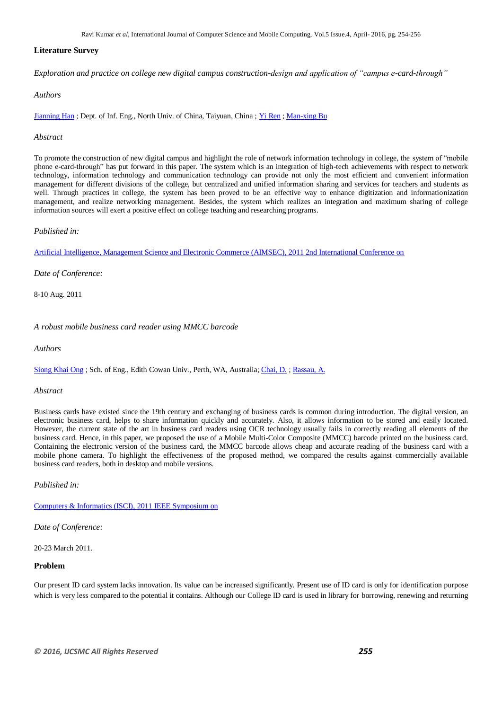Ravi Kumar *et al*, International Journal of Computer Science and Mobile Computing, Vol.5 Issue.4, April- 2016, pg. 254-256

#### **Literature Survey**

*Exploration and practice on college new digital campus construction-design and application of "campus e-card-through"* 

#### *Authors*

[Jianning Han](http://ieeexplore.ieee.org/search/searchresult.jsp?searchWithin=%22Authors%22:.QT.Jianning%20Han.QT.&newsearch=true) ; Dept. of Inf. Eng., North Univ. of China, Taiyuan, China ; [Yi Ren](http://ieeexplore.ieee.org/search/searchresult.jsp?searchWithin=%22Authors%22:.QT.Yi%20Ren.QT.&newsearch=true) ; [Man-xing Bu](http://ieeexplore.ieee.org/search/searchresult.jsp?searchWithin=%22Authors%22:.QT.Man-xing%20Bu.QT.&newsearch=true)

#### *Abstract*

To promote the construction of new digital campus and highlight the role of network information technology in college, the system of "mobile phone e-card-through" has put forward in this paper. The system which is an integration of high-tech achievements with respect to network technology, information technology and communication technology can provide not only the most efficient and convenient information management for different divisions of the college, but centralized and unified information sharing and services for teachers and students as well. Through practices in college, the system has been proved to be an effective way to enhance digitization and informationization management, and realize networking management. Besides, the system which realizes an integration and maximum sharing of college information sources will exert a positive effect on college teaching and researching programs.

#### *Published in:*

[Artificial Intelligence, Management Science and Electronic Commerce \(AIMSEC\), 2011 2nd International Conference on](http://ieeexplore.ieee.org/xpl/mostRecentIssue.jsp?punumber=5992814) 

*Date of Conference:*

8-10 Aug. 2011

*A robust mobile business card reader using MMCC barcode* 

*Authors* 

[Siong Khai Ong](http://ieeexplore.ieee.org/search/searchresult.jsp?searchWithin=%22Authors%22:.QT.Siong%20Khai%20Ong.QT.&newsearch=true) ; Sch. of Eng., Edith Cowan Univ., Perth, WA, Australia; [Chai, D.](http://ieeexplore.ieee.org/search/searchresult.jsp?searchWithin=%22Authors%22:.QT.Chai,%20D..QT.&newsearch=true) [; Rassau, A.](http://ieeexplore.ieee.org/search/searchresult.jsp?searchWithin=%22Authors%22:.QT.Rassau,%20A..QT.&newsearch=true)

#### *Abstract*

Business cards have existed since the 19th century and exchanging of business cards is common during introduction. The digital version, an electronic business card, helps to share information quickly and accurately. Also, it allows information to be stored and easily located. However, the current state of the art in business card readers using OCR technology usually fails in correctly reading all elements of the business card. Hence, in this paper, we proposed the use of a Mobile Multi-Color Composite (MMCC) barcode printed on the business card. Containing the electronic version of the business card, the MMCC barcode allows cheap and accurate reading of the business card with a mobile phone camera. To highlight the effectiveness of the proposed method, we compared the results against commercially available business card readers, both in desktop and mobile versions.

*Published in:*

Computers & [Informatics \(ISCI\), 2011 IEEE Symposium on](http://ieeexplore.ieee.org/xpl/mostRecentIssue.jsp?punumber=5946177) 

*Date of Conference:*

20-23 March 2011.

#### **Problem**

Our present ID card system lacks innovation. Its value can be increased significantly. Present use of ID card is only for identification purpose which is very less compared to the potential it contains. Although our College ID card is used in library for borrowing, renewing and returning